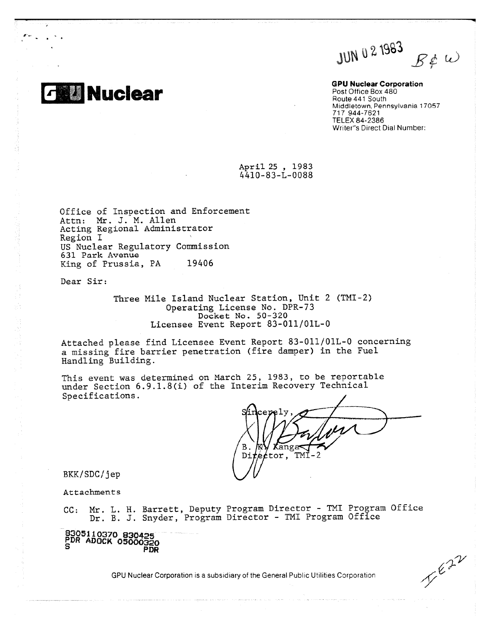JUN 0 2 1983  $B\rlap{/}$ e W

**GPU Nuclear Corporation** Post Office Box 480 Route 441 South Middletown, Pennsylvania 17057 717 944-7621 TELEX 84-2386 Writer's Direct Dial Number:

April 25 , 1983 4410-83-L-0088

Office of Inspection and Enforcement Attn: **Mr.** J. M. Allen Acting Regional Administrator Region I US Nuclear Regulatory Commission 631 Park Avenue King of Prussia, PA 19406

Dear Sir:

**Nuclear**

0-,

Three Mile Island Nuclear Station, Unit 2 (TMI-2) Operating License No. DPR-73 Docket No. 50-320 Licensee Event Report 83-011/01L-0

Attached please find Licensee Event Report 83-011/01L-0 concerning a missing fire barrier penetration (fire damper) in the Fuel Handling Building.

This event was determined on March 25, 1983, to be reportable under Section 6.9.1.8(i) of the Interim Recovery Technical Specifications.

В Kanga  $\texttt{Di}$  $\phi$ tor, TMI-

BKK/SDC/jep

Attachments

CC: Mr. L. H. Barrett, Deputy Program Director - TMI Program Office Dr. B. J. Snyder, Program Director - TMI Program Office

**8305110370 830425 PDR ADOCK 05000320 PDR**

GPU Nuclear Corporation is a subsidiary of the General Public Utilities Corporation

 $V^{\epsilon2}$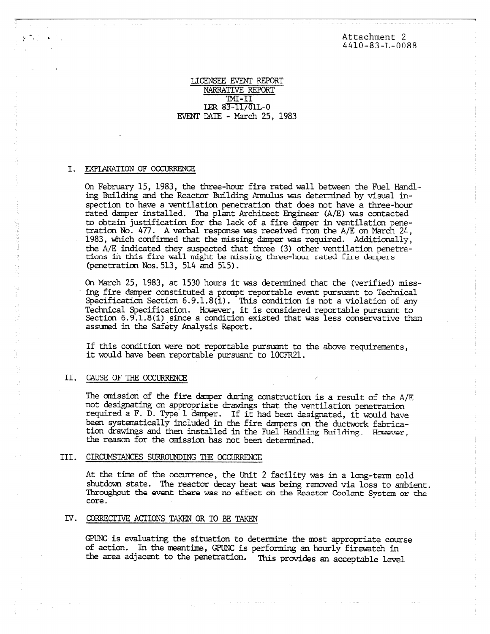Attachment 2 4410-83-L-0088

## LICENSEE EVENT REPORT NARRATIVE REPORT INI-II LER 83-11/01L-0 EVENT DATE - March 25, 1983

### I. EXPLANATION OF OCCURRENCE

On February 15, 1983, the three-hour fire rated wall between the Fuel Handling Building and the Reactor Building Annulus was determined by visual inspection to have a ventilation penetration that does not have a three-hour rated damper installed. The plant Architect Engineer (A/E) was contacted to obtain justification for the lack of a fire damper in ventilation penetration No. 477. *A* verbal response was received from the A/E on March 24, 1983, which confirmed that the missing damper was required. Additionally, the A/E indicated they suspected that three (3) other ventilation penetrations in this fire wall might be missing three-hour rated fire dampers (penetration Nos.513, 514 and 515).

On March 25, 1983, at 1530 hours it was determined that the (verified) missing fire damper constituted a prompt reportable event pursuant to Technical Specification Section 6.9.1.8(i). This condition is not a violation of any Technical Specification. However, it is considered reportable pursuant to section 6.9.1.8(i) since a condition existed that was less conservative than assumed in the Safety Analysis Report.

If this condition were not reportable pursuant to the above requirements, it would have been reportable pursuant to 10CFR21.

#### II. CAUSE OF THE OCCURRENCE

The omission of the fire damper during construction is a result of the A/E not designating on appropriate drawings that the ventilation penetration required a F. D. Type 1 damper. If it had been designated, it would have been systematically included in the fire dampers on the ductwork fabrication drawings and then installed in the Fuel Handling Building. However, the reason for the omission has not been determined.

#### III. CIRCUMSTANCES SURROUNDING THE OCCURRENCE

At the tine of the occurrence, the Unit 2 facility was in a long-term cold shutdown state. The reactor decay heat was being removed via loss to ambient. Throughout the event there was no effect on the Reactor Coolant System or the core.

# IV. CORRECTIVE ACTIONS TAKEN OR TO BE TAKEN

GPUNC is evaluating the situation to determine the most appropriate course of action. In the meantime, GPUNC is performing an hourly firewatch in the area adjacent to the penetration. This provides an acceptable level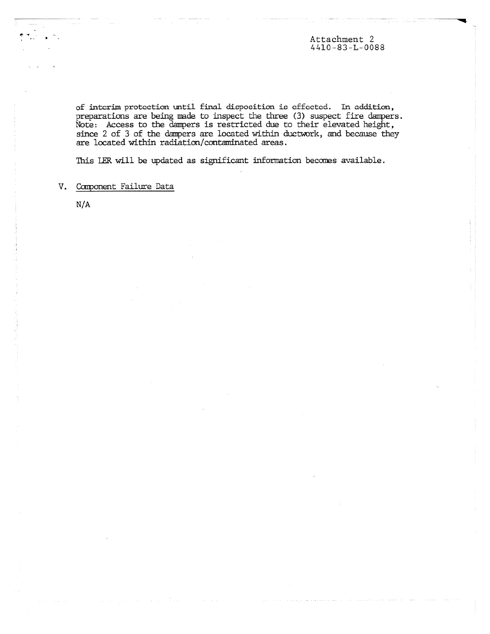Attachment 2 4410-83-L-0088

of interim protection until final dicpocition is effected. In addition, preparations are being made to inspect the three (3) suspect fire dampers. Note: Access to the dampers is restricted due to their elevated height, since 2 of 3 of the dampers are located within ductwork, and because they are located within radiation/contaminated areas.

This LER will be updated as significant information becomes available.

V. Component Failure Data

 $N/A$